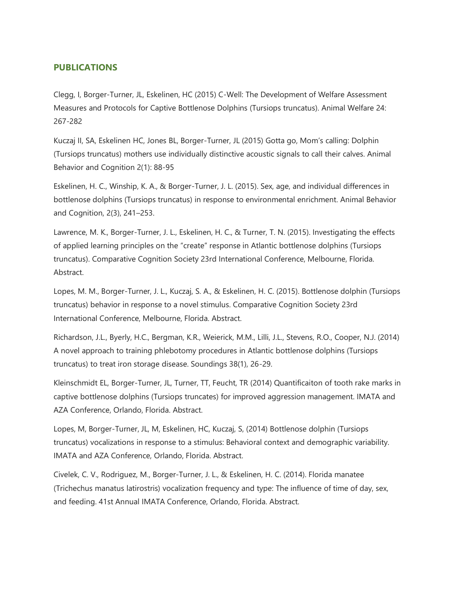## **PUBLICATIONS**

Clegg, I, Borger-Turner, JL, Eskelinen, HC (2015) C-Well: The Development of Welfare Assessment Measures and Protocols for Captive Bottlenose Dolphins (Tursiops truncatus). Animal Welfare 24: 267-282

Kuczaj II, SA, Eskelinen HC, Jones BL, Borger-Turner, JL (2015) Gotta go, Mom's calling: Dolphin (Tursiops truncatus) mothers use individually distinctive acoustic signals to call their calves. Animal Behavior and Cognition 2(1): 88-95

Eskelinen, H. C., Winship, K. A., & Borger-Turner, J. L. (2015). Sex, age, and individual differences in bottlenose dolphins (Tursiops truncatus) in response to environmental enrichment. Animal Behavior and Cognition, 2(3), 241–253.

Lawrence, M. K., Borger-Turner, J. L., Eskelinen, H. C., & Turner, T. N. (2015). Investigating the effects of applied learning principles on the "create" response in Atlantic bottlenose dolphins (Tursiops truncatus). Comparative Cognition Society 23rd International Conference, Melbourne, Florida. **Abstract** 

Lopes, M. M., Borger-Turner, J. L., Kuczaj, S. A., & Eskelinen, H. C. (2015). Bottlenose dolphin (Tursiops truncatus) behavior in response to a novel stimulus. Comparative Cognition Society 23rd International Conference, Melbourne, Florida. Abstract.

Richardson, J.L., Byerly, H.C., Bergman, K.R., Weierick, M.M., Lilli, J.L., Stevens, R.O., Cooper, N.J. (2014) A novel approach to training phlebotomy procedures in Atlantic bottlenose dolphins (Tursiops truncatus) to treat iron storage disease. Soundings 38(1), 26-29.

Kleinschmidt EL, Borger-Turner, JL, Turner, TT, Feucht, TR (2014) Quantificaiton of tooth rake marks in captive bottlenose dolphins (Tursiops truncates) for improved aggression management. IMATA and AZA Conference, Orlando, Florida. Abstract.

Lopes, M, Borger-Turner, JL, M, Eskelinen, HC, Kuczaj, S, (2014) Bottlenose dolphin (Tursiops truncatus) vocalizations in response to a stimulus: Behavioral context and demographic variability. IMATA and AZA Conference, Orlando, Florida. Abstract.

Civelek, C. V., Rodriguez, M., Borger-Turner, J. L., & Eskelinen, H. C. (2014). Florida manatee (Trichechus manatus latirostris) vocalization frequency and type: The influence of time of day, sex, and feeding. 41st Annual IMATA Conference, Orlando, Florida. Abstract.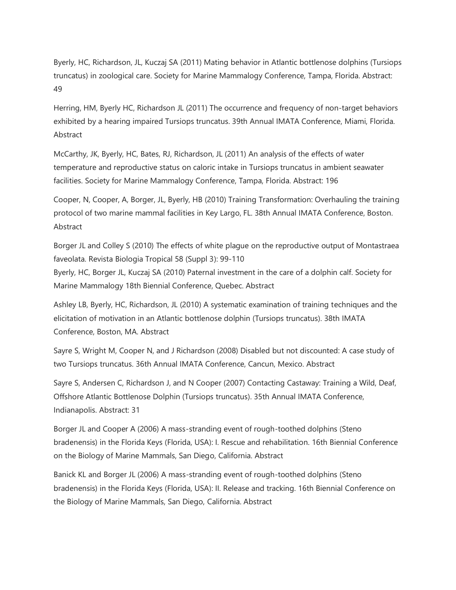Byerly, HC, Richardson, JL, Kuczaj SA (2011) Mating behavior in Atlantic bottlenose dolphins (Tursiops truncatus) in zoological care. Society for Marine Mammalogy Conference, Tampa, Florida. Abstract: 49

Herring, HM, Byerly HC, Richardson JL (2011) The occurrence and frequency of non-target behaviors exhibited by a hearing impaired Tursiops truncatus. 39th Annual IMATA Conference, Miami, Florida. Abstract

McCarthy, JK, Byerly, HC, Bates, RJ, Richardson, JL (2011) An analysis of the effects of water temperature and reproductive status on caloric intake in Tursiops truncatus in ambient seawater facilities. Society for Marine Mammalogy Conference, Tampa, Florida. Abstract: 196

Cooper, N, Cooper, A, Borger, JL, Byerly, HB (2010) Training Transformation: Overhauling the training protocol of two marine mammal facilities in Key Largo, FL. 38th Annual IMATA Conference, Boston. Abstract

Borger JL and Colley S (2010) The effects of white plague on the reproductive output of Montastraea faveolata. Revista Biologia Tropical 58 (Suppl 3): 99-110

Byerly, HC, Borger JL, Kuczaj SA (2010) Paternal investment in the care of a dolphin calf. Society for Marine Mammalogy 18th Biennial Conference, Quebec. Abstract

Ashley LB, Byerly, HC, Richardson, JL (2010) A systematic examination of training techniques and the elicitation of motivation in an Atlantic bottlenose dolphin (Tursiops truncatus). 38th IMATA Conference, Boston, MA. Abstract

Sayre S, Wright M, Cooper N, and J Richardson (2008) Disabled but not discounted: A case study of two Tursiops truncatus. 36th Annual IMATA Conference, Cancun, Mexico. Abstract

Sayre S, Andersen C, Richardson J, and N Cooper (2007) Contacting Castaway: Training a Wild, Deaf, Offshore Atlantic Bottlenose Dolphin (Tursiops truncatus). 35th Annual IMATA Conference, Indianapolis. Abstract: 31

Borger JL and Cooper A (2006) A mass-stranding event of rough-toothed dolphins (Steno bradenensis) in the Florida Keys (Florida, USA): I. Rescue and rehabilitation. 16th Biennial Conference on the Biology of Marine Mammals, San Diego, California. Abstract

Banick KL and Borger JL (2006) A mass-stranding event of rough-toothed dolphins (Steno bradenensis) in the Florida Keys (Florida, USA): II. Release and tracking. 16th Biennial Conference on the Biology of Marine Mammals, San Diego, California. Abstract